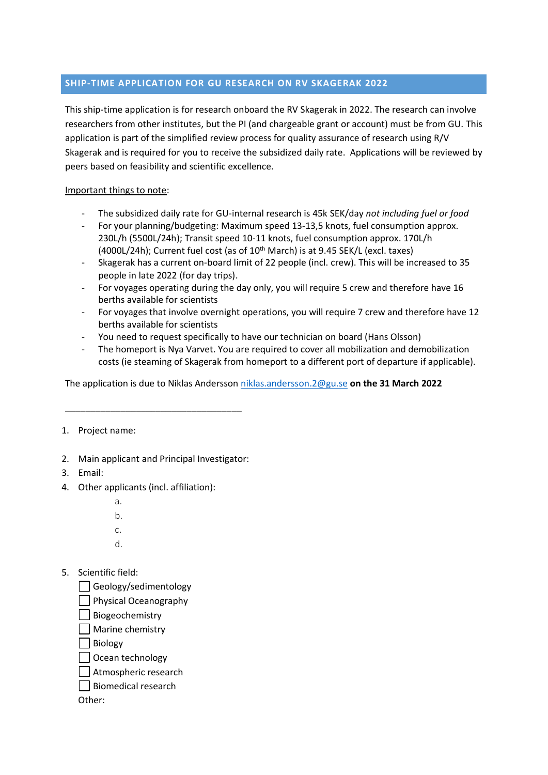## **SHIP-TIME APPLICATION FOR GU RESEARCH ON RV SKAGERAK 2022**

This ship-time application is for research onboard the RV Skagerak in 2022. The research can involve researchers from other institutes, but the PI (and chargeable grant or account) must be from GU. This application is part of the simplified review process for quality assurance of research using R/V Skagerak and is required for you to receive the subsidized daily rate. Applications will be reviewed by peers based on feasibility and scientific excellence.

## Important things to note:

- The subsidized daily rate for GU-internal research is 45k SEK/day *not including fuel or food*
- For your planning/budgeting: Maximum speed 13-13,5 knots, fuel consumption approx. 230L/h (5500L/24h); Transit speed 10-11 knots, fuel consumption approx. 170L/h  $(4000L/24h)$ ; Current fuel cost (as of  $10<sup>th</sup>$  March) is at 9.45 SEK/L (excl. taxes)
- Skagerak has a current on-board limit of 22 people (incl. crew). This will be increased to 35 people in late 2022 (for day trips).
- For voyages operating during the day only, you will require 5 crew and therefore have 16 berths available for scientists
- For voyages that involve overnight operations, you will require 7 crew and therefore have 12 berths available for scientists
- You need to request specifically to have our technician on board (Hans Olsson)
- The homeport is Nya Varvet. You are required to cover all mobilization and demobilization costs (ie steaming of Skagerak from homeport to a different port of departure if applicable).

The application is due to Niklas Andersson [niklas.andersson.2@gu.se](mailto:niklas.andersson.2@gu.se) **on the 31 March 2022**

## 1. Project name:

2. Main applicant and Principal Investigator:

\_\_\_\_\_\_\_\_\_\_\_\_\_\_\_\_\_\_\_\_\_\_\_\_\_\_\_\_\_\_\_\_\_\_\_

- 3. Email:
- 4. Other applicants (incl. affiliation):
	- a.
	- b.
	- c.
	- d.
- 5. Scientific field:
	- Geology/sedimentology
	- $\Box$  Physical Oceanography
	- Biogeochemistry
	- | Marine chemistry
	- **Biology**
	- Ocean technology
	- Atmospheric research
	- Biomedical research

Other: